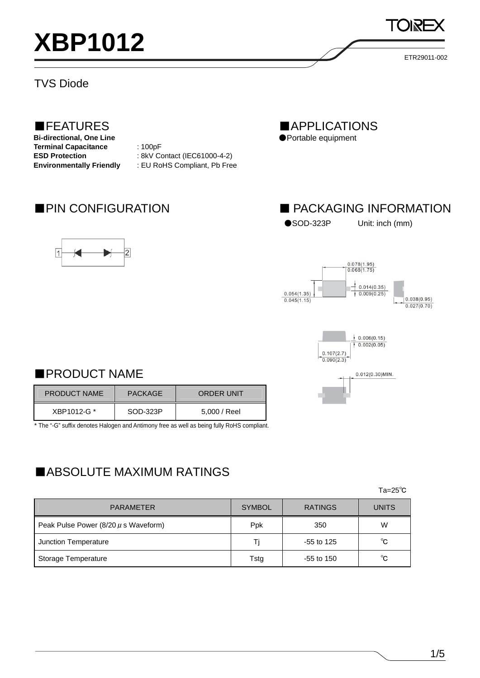

### TVS Diode

# ■FEATURES

**Bi-directional, One Line Terminal Capacitance** : 100pF **ESD Protection** : 8kV Contact (IEC61000-4-2)

**Environmentally Friendly** : EU RoHS Compliant, Pb Free



■APPLICATIONS ●Portable equipment

# ■ PIN CONFIGURATION ■ PACKAGING INFORMATION

●SOD-323P Unit: inch (mm)

ETR29011-002





# ■PRODUCT NAME

| <b>PRODUCT NAME</b> | <b>PACKAGE</b> | <b>ORDER UNIT</b> |
|---------------------|----------------|-------------------|
| XBP1012-G *         | SOD-323P       | 5,000 / Reel      |

\* The "-G" suffix denotes Halogen and Antimony free as well as being fully RoHS compliant.

# ■ABSOLUTE MAXIMUM RATINGS

 $\mathsf{Ta}=\mathsf{25^{\circ}C}$ 

| <b>PARAMETER</b>                         | <b>SYMBOL</b> | <b>RATINGS</b> | <b>UNITS</b> |
|------------------------------------------|---------------|----------------|--------------|
| Peak Pulse Power $(8/20 \mu s$ Waveform) | Ppk           | 350            | W            |
| Junction Temperature                     | Τi            | $-55$ to 125   | $^{\circ}$ C |
| Storage Temperature                      | Tstg          | $-55$ to 150   | $^{\circ}$ C |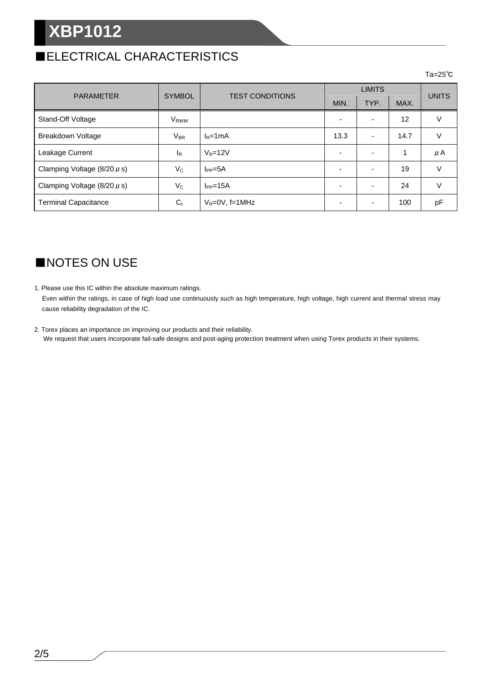# **XBP1012**

# ■ELECTRICAL CHARACTERISTICS

### $\mathsf{Ta}=\mathsf{25^{\circ}C}$

| <b>PARAMETER</b>                | <b>SYMBOL</b>          | <b>TEST CONDITIONS</b> | <b>LIMITS</b> |      |      | <b>UNITS</b> |
|---------------------------------|------------------------|------------------------|---------------|------|------|--------------|
|                                 |                        |                        | MIN.          | TYP. | MAX. |              |
| Stand-Off Voltage               | <b>V<sub>RWM</sub></b> |                        |               |      | 12   | V            |
| Breakdown Voltage               | $V_{BR}$               | $I_R = 1mA$            | 13.3          |      | 14.7 | ٧            |
| Leakage Current                 | $I_R$                  | $V_R = 12V$            |               |      |      | μA           |
| Clamping Voltage $(8/20 \mu s)$ | $V_{C}$                | $I_{PP} = 5A$          |               |      | 19   | V            |
| Clamping Voltage $(8/20 \mu s)$ | $V_C$                  | $I_{PP} = 15A$         |               |      | 24   | V            |
| <b>Terminal Capacitance</b>     | $C_{t}$                | $V_R = 0V$ , f=1MHz    |               |      | 100  | pF           |

# ■NOTES ON USE

1. Please use this IC within the absolute maximum ratings. Even within the ratings, in case of high load use continuously such as high temperature, high voltage, high current and thermal stress may cause reliability degradation of the IC.

2. Torex places an importance on improving our products and their reliability. We request that users incorporate fail-safe designs and post-aging protection treatment when using Torex products in their systems.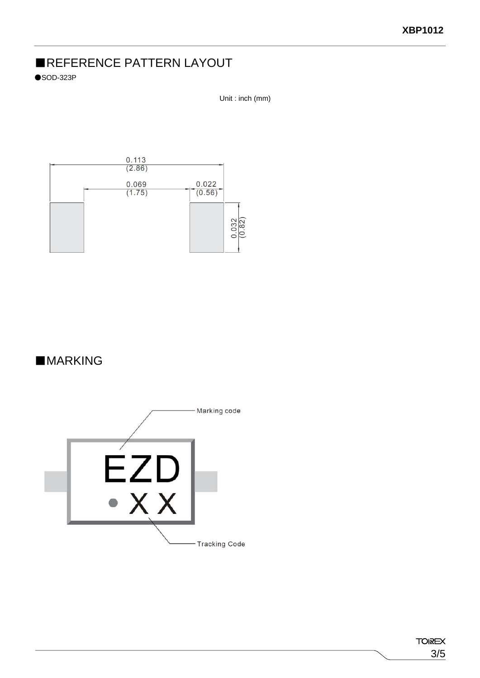# ■REFERENCE PATTERN LAYOUT

 $\bullet$ SOD-323P

Unit : inch (mm)



# ■**MARKING**

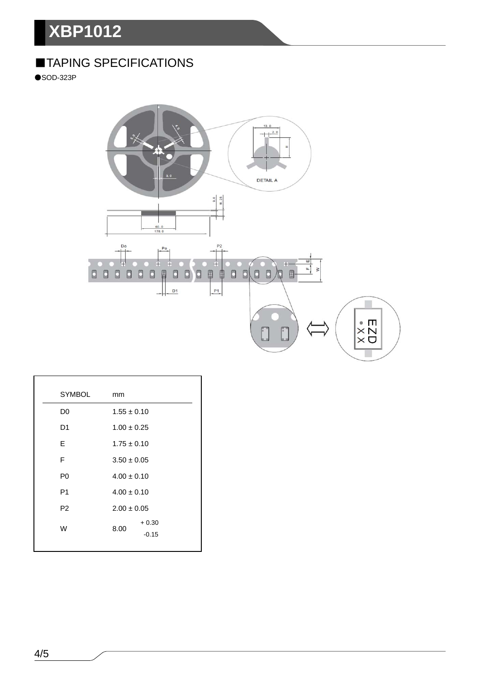# **XBP1012**

# ■TAPING SPECIFICATIONS

●SOD-323P



| <b>SYMBOL</b>  | mm                         |  |
|----------------|----------------------------|--|
| D <sub>0</sub> | $1.55 \pm 0.10$            |  |
| D <sub>1</sub> | $1.00 \pm 0.25$            |  |
| E              | $1.75 \pm 0.10$            |  |
| F              | $3.50 \pm 0.05$            |  |
| P <sub>0</sub> | $4.00 \pm 0.10$            |  |
| P <sub>1</sub> | $4.00 \pm 0.10$            |  |
| P <sub>2</sub> | $2.00 \pm 0.05$            |  |
| W              | $+0.30$<br>8.00<br>$-0.15$ |  |
|                |                            |  |